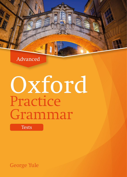Advanced

# Oxford Practice Grammar

**Tests** 

George Yule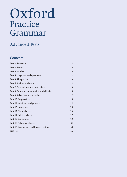# Oxford Practice Grammar

### Advanced Tests

#### **Contents**

| Test 1: Sentences     | $\mathbf{1}$   |
|-----------------------|----------------|
|                       | 3              |
|                       | .5             |
|                       | $\overline{J}$ |
|                       |                |
|                       | 11             |
|                       |                |
|                       |                |
|                       |                |
|                       |                |
|                       |                |
| Test 12: Reporting 23 |                |
|                       |                |
|                       | 27             |
|                       |                |
|                       |                |
|                       |                |
|                       |                |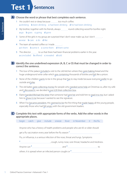### **Test 1 Sentences**

#### A Choose the word or phrase that best completes each sentence.

- 1 He couldn't rest or sleep because too much coffee. a drinking b been drinking c had been drinking d he had been drinking
- 2 My brother, together with his friends, always **manual motion collecting wood for bonfire night**. a go **b** goes **c** going **d** gone
- 3 Some of the girls in my group are surprised that I don't wear make-up, but I don't .............. a wear **b** care **c** do **d** like
- 4 The team all wanted coffee so I made ............ a it them **b** some it **c** some them **d** them some
- 5 The director  $r_{\text{min}}$  to us that there had been financial problems earlier in the year. a concluded **b** offered **c** revealed **d** told
- **B** Identify the one underlined expression (A, B, C or D) that must be changed in order to correct the sentence.
	- **1** The tour of the palace included a visit to the old kitchen where they were baking bread and the huge underground wine cellar which was containing thousands of bottles and felt like a prison. **C D**
	- **2** None of the children wants to be in the group that has to stay inside because everyone prefer to go outside and play. **D**
	- **3** The old ladies were collecting money for people who needed some help at Christmas so, after my wife and <u>I discussed it</u>, we decided to put £20 their collection box.
	- 4 Elaine handed Michael the letter that someone had sent her and told him to read it to me, but I asked **A B C** him to show it me because I wanted to see the signature. **D**
	- **5** When Fox became president, this seemed to be the first thing that made happy all the young people, especially those who had felt angry with the old government leaders. **D**

#### C Complete this text with appropriate forms of the verbs. Add the other words in the appropriate places.

begin catch give include sneeze fever in November it the flu Anyone who has a history of health problems and people who are 65 or older should get a flu vaccination every year before the flu season **1** . Flu, or influenza, is a serious infection of the nose, throat and lungs. Symptoms **2** , cough, runny nose, sore throat, headache and tiredness. Anyone can <sup>3</sup> <u>and **4** anyone can <sup>3</sup> and <sup>4</sup> and <sup>4</sup> and <sup>4</sup> and **4** and **4** and **4** and **1** and **1** and **1** and **1** and **1** and **1** and **1** and **1** and **1** and **1** and **1** and **1** and **1** and **1** and **1** and **1** and **1**</u> others. It is spread when an infected person coughs or **5** .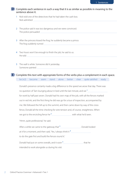- 1 Nick told one of the detectives that he had taken the cash box. Nick admitted
- 2 The police said it was too dangerous and we were convinced. The police persuaded
- 3 After the princess kissed the frog, he suddenly became a prince. The frog suddenly turned
- 4 Two hours won't be enough to finish the job, he said to us. He told
- 5 The wall is white. Someone did it yesterday. Someone painted

#### **E** Complete this text with appropriate forms of the verbs plus a complement in each space. be (×2) become seem stand alone better clear quite satisfied ready

Donald's presence certainly made a big difference to the speed we arose that day. There was no question of Tam lounging about in bed until the last minute, and we **1** for work by half past seven. Donald had his own map of the job, with all the fences marked out in red ink, and the first thing he did was go for a tour of inspection, accompanied by me. We followed the hill up to the summit, and then came down by way of the crossfence, Donald all the time checking for wire tension and, of course, straightness. When we got to the encircling fence he<sup>2</sup> with what he'd seen. 'Hmm, quite professional,' he said. After a while we came to the gateway that **3** . Donald looked at it for a moment, and then said, 'Yes, I always think it **4** to do the gate first and build the fences round it.' Donald had put on some overalls, and it soon<sup>5</sup> that he that he intended to work alongside us during his visit.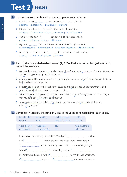### **Test 2 Tenses**



- 1 I think Mr Wilson in this school since 2005 or maybe earlier. a teaches **b** is teaching **c** has taught **d** taught
- 2 I stopped watching the game before the end, but I thought we. a had won b have won c have been winning d will have won
- 3 That's very sad news. If some meaning sooner, I would have tried to help. a I know b I'll know c I knew d I'd known
- 4 My sister me once or twice since she's been living in Athens. a was messaging b has messaged c has been messaging d had messaged
- 5 According to the memo, we're will mean the meeting at noon tomorrow. a having **b** have **c** going have **d** will have

**B** Identify the one underlined expression (A, B, C or D) that must be changed in order to correct the sentence.

- 1 My next door neighbour, who is usually shy and doesn't say much, is being very friendly this morning and has a big party tonight for all his friends. **D**
- 2 Martin was used to smoke a lot when he was studying, but since he has been working in the bank, **A B C** he hasn't been smoking as much. **D**
- **3** People were slipping on the wet floor because no one had cleaned up the water that all of us were knowing had leaked from the coffee machine. **C D**
- 4 When you will make a promise, you tell someone that you will definitely give them something or **A B C** that you definitely will or won't do something. **D**
- **5** As we <u>were entering</u> the building, I noticed a sign that someone has put above the door which said, 'Be alert.' **D**

#### C Complete this text by choosing only one of the verbs from each pair for each space.

| had decided             | was walking    | hadn't changed  | thinking       |
|-------------------------|----------------|-----------------|----------------|
| decide                  | walk           | wasn't changing | thought        |
| were looking            | whispered      | saw             | wasn't wearing |
| are looking             | was whispering | see             | didn't wear    |
|                         |                |                 |                |
|                         |                |                 |                |
|                         |                |                 |                |
| $\overline{\mathbf{3}}$ |                |                 |                |
|                         |                |                 |                |
|                         |                |                 |                |
|                         |                |                 |                |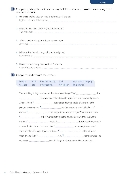**D** Complete each sentence in such a way that it is as similar as possible in meaning to the sentence above it. 1 We are spending £300 on repairs before we sell the car. By the time we sell the car, we 2 I never had to think about my health before this. This is the first 3 Juliet started working here about six years ago. Juliet has 4 I didn't think it would be good, but it's really bad. It's even worse **with a strategies and the strategies of the strategies** of the strategies of the strategies of the strategies of the strategies of the strategies of the strategies of the strategies of the strategies of th 5 I haven't talked to my parents since Christmas. It was Christmas when **E** Complete this text with these verbs. believe holds be experiencing had have been changing will keep lets is happening have been have created The world is getting warmer and the oceans are rising. Why <sup>1</sup> the world is getting this ? One answer is that it could simply be part of a natural process. After all, there<sup>2</sup> **interact and its ages** and long periods of warmth in the past, so we could just **3** another warming trend. This kind of

sea levels **manually** yes.

answer<sup>4</sup> more supporters a few years ago. What scientists now <sup>5</sup> **in all as in the cause.** For more than 200 years,

humans  $\frac{6}{2}$  mainly

through and then  $\frac{9}{100}$  it in. <sup>10</sup> the summand temperatures and

as a result of industrial pollution. We **7** an atmosphere around the earth that, like a giant glass container,  $\frac{1}{2}$  **heat from the sun**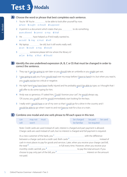### **Test 3 Modals**

#### A Choose the word or phrase that best completes each sentence.

- 1 You're 18! You're **the mannum** to be able to look after yourself by now. a have **b** ought **c** should **d** supposed
- 2 A permit is a document which states that you to do something. a are allowed **b** cannot **c** may **d** shall
- 3 He **have helped us if he'd really wanted to.** a could **b** may **c** must **d** will
- 4 My laptop **manual** be old, but it still works really well. a can **b** could **c** may **d** would
- 5 manual someone please tell me where the library is? a Can b May c Must d Should

#### **B** Identify the one underlined expression (A, B, C or D) that must be changed in order to correct the sentence.

- **1** They say it can be going to rain later so you should take an umbrella or you might get wet.
- $\frac{1}{M}$  I <u>was going to ask</u> you if you <u>would read</u> over my essay before I have to hand it in, but when you read it, you <u>ought not be</u> too critical or negative.<br>
- **3** His right hand may have been badly injured and he probably won't be able to type, so I thought that I will offer to do some typing for him. **D**
- **4** Andy was so generous. If I asked him, '<u>Could</u> I borrow your car?', he <u>would</u> always say, **C** course, you could!', and he would immediately start looking for the keys.
- **5** I really wish I would have a car of my own so that I could go for a drive in the country and I would be able to go when I want to and not have to wait for a bus or a train. **C D**

#### C Combine one modal and one verb phrase to fill each space in this text.

| can  | may not must |  | be charged be paid be used |  |
|------|--------------|--|----------------------------|--|
| will | won't        |  | be familiar be required    |  |

Note: Credit cards are used instead of cash, interest is charged and part payment is allowed. Charge cards are used instead of cash, but no interest is charged and full payment is required.

```
As a new customer of the bank, you<sup>1</sup> with the difference
between a charge card and a credit card. Both cards 2 instead of 
cash in most places to pay for goods and services. Later, when you receive your charge card bill, 
the total 3 in full every time. However, when you receive your monthly credit card bill, you 4 in full every time. However, when you receive your monthly credit card bill, you 4
                                                  monthly compute to pay the total amount. If you
choose to pay only part of the bill, you<sup>5</sup> interest on the amount
not paid.
```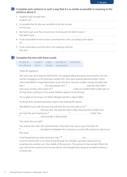- 1 Students may not park here. Students are **manually constructed**
- 2 It's possible that his trip was cancelled at the last minute. His trip may
- 3 She had to get up at five o'clock every morning and she didn't enjoy it. She didn't enjoy
- 4 It was impossible for him to have committed the crime, according to the report. He
- 5 It was a bad idea to put this shirt in the washing machine. This shirt

#### Complete this text with these words. **E**

| be able to           | couldn't might | was able to         | would $(x2)$ |
|----------------------|----------------|---------------------|--------------|
| be willing to had to |                | should was going to |              |

#### 'Hello! Mr Appleton!'

The voice was some distance behind him. He stopped raking the leaves and turned to see two women struggling up the driveway towards him. They were wearing identical white T-shirts which had MADD in large black letters across the front. He had a sudden strange thought that they<sup>1</sup> **Example 2** spell. But they didn't look crazy. As they came closer, he<sup>3</sup> maximum make out smaller letters under each of the big letters, spelling out the words 'Mothers Against Drunk Driving'.

'I'm so glad we found you. I'm Nettie Albright and this is Agnes Miller.'

He shook their outstretched hands. Agnes was wearing thin gloves.

'We talked to your wife this morning and she's the one who told us we **4**

**5** find you here. She said she hadn't really witnessed the accident, but

you had. We were hoping you  $\frac{1}{2}$  **6 7** *maximurally set if y.'* She

**8 s s** stop and take a deep breath.

'You mean the car crash?'

'Yes, exactly, the crash. We need witnesses. That awful man says it wasn't his fault. He **9** be jailed immediately! He's a menace to society. We need your help to put him away.'

It had happened one early evening in July. 1<sup>10</sup> [10] Just [10] Just [20] Just [20] Just [20] Just [20] Just [20] Just [20] Just [20] Just [20] Just [20] Just [20] Just [20] Just [20] Just [20] Just [20] Just [20] Just [20 cross the street when a car came racing through the red light, narrowly missing me, but smashing into another car in the middle of the junction. The woman in that car died. When the man who hit her turned out to be very drunk, it all changed from being an accident to being a criminal case.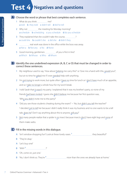### **Test 4** Negatives and questions

#### A Choose the word or phrase that best completes each sentence.

- 1 What do you think me? a told **b** they told **c** didn't tell **d** did he tell
- 2 Why not manual the meeting for Monday morning? a schedule b scheduling c you schedule d do you schedule
- 3 They explained that she couldn't take the course, ............................. a could she **b** couldn't she **c** did she **d** didn't they
- 4 **real work was done in the office while the boss was away.** a Not a b Not any c No d None
- 5 Good morning, gentlemen. of you is first in line? a Which **b** Whose **c** Who **d** Whom
- **B** Identify the one underlined expression (A, B, C or D) that must be changed in order to correct these sentences.
	- **1** My neighbour used to say, 'How about helping me carry this?' or 'Give me a hand with this, would you?', but at no time he asked me if I ever needed help with anything. **C D**
	- **2** I'm <u>not trying</u> to work more, but quite often I have no time for lunch or I <mark>don't have</mark> much of an appetite, and so I take no longer a whole hour for my lunch break. **D**
	- **3** I told Sarah that it wasn't my party. I explained that it was my brother's party, so none of my friends had been invited. I guess she didn't believe me because her first question was, **B C** 'Why you didn't invite me to the party?' **D**
	- **4** 'Did you see those students cheating during the exam?' ~ 'No, but didn't you tell the teacher?' 'I decided <u>pot to tell</u> her because I didn't really think it was my business and no one wants to be a tell tale, does he? Don't say anything about this to anyone, will you?' **C D**
	- **5** Not many people realize that a spider is no insect because insects don't have eight legs and none of them make webs.

#### Fill in the missing words in this dialogue. **C**

- A 'Isn't window-shopping fun? Look at these lovely vases.<sup>1</sup> [1] 1] they beautiful?'
- B 'They're okay.'
- A 'Let's buy one!'
- B 'With **2** ?'
- A 'Oh, come on, just one.'
- B 'No, I don't think so. They're <sup>3</sup> nume all these than the ones we already have at home.'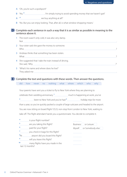- A 'Oh, you're such a spoilsport!'
- B 'No,  $4$  . I'm simply trying to avoid spending money that we haven't got!'
- A <sup>5</sup> manual manual we buy anything at all?'
- B 'No. But you can enjoy looking. That, after all, is what window-shopping means.'

- 1 The room wasn't only cold, it was also very damp. Not .
- 2 Your sister said she gave the money to someone. Who ?
- 3 Andreas thinks that something has been stolen. What ?
- 4 She suggested that I take the train instead of driving. She said, 'Why ?'
- 5 'What's his name and where does he live?' They asked me .

#### **E** Complete the text and questions with these words. Then answer the questions.

|  |  |  |  | did how never no nothing what where which who why |  |  |  |  |  |
|--|--|--|--|---------------------------------------------------|--|--|--|--|--|
|--|--|--|--|---------------------------------------------------|--|--|--|--|--|

Your parents have sent you a ticket to fly to New York where they are planning to

celebrate their wedding anniversary.<sup>1</sup> [1] much is happening at work, you've

<sup>2</sup> **been to New York and you've had <sup>3</sup> holiday trips for more** 

than a year, so you've quickly packed a couple of large suitcases and headed to the airport.

You are now sitting on board flight YZ-23, non-stop from London to New York, waiting to

take off. The flight attendant hands you a questionnaire. You decide to complete it.

| $\overline{a}$             | is your flight number?                               | *********************   |
|----------------------------|------------------------------------------------------|-------------------------|
| 5                          | are you taking this flight?                          | Business or Leisure     |
| -6                         | paid for your flight?                                | Myself or Somebody else |
|                            | you check in bags for this flight?                   |                         |
| $\mathbf{B}_{\mathrm{At}}$ | airport did you board this flight?                   | ----------------------  |
| 9                          | will you leave this flight?                          | *********************   |
| 10                         | many flights have you made in the<br>last 12 months? | ----------------------  |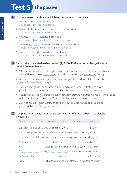### **Test 5 The passive**



- 1 We were told to put it where it was usually **We were told to put it where it was usually** a belonged **b** fit **c** had **d** stored
- 2 It wasn't the first time they had been **manual** how it worked. a taught **b** reported **c** explained **d** described
- 3 DNA tests **manually accepted** in court cases. a are known **b** were used **c** have been **d** will have
- 4 Something happened or they would be here by now. a must **b** must be **c** must have **d** must have been
- 5 There **manual** to be serious flaws in the design. a claimed **b** reported **c** were said **d** were told
- **B** Identify the one underlined expression (A, B, C or D) that must be changed in order to correct these sentences.
	- 1 When he said they weren't going to get engaged because they were getting married right away, I assumed he wasn't already got married, but I didn't know he had just got divorced that day. **C D**
	- **2** No one <u>died</u>, but four people <u>were injured</u> and had to be taken to hospital after a small plane was crashed near Dublin last night. **D**
	- **3** The main door couldn't be opened. It had been locked by a special key that the caretaker didn't have. He had been given a large set of keys, but none of them fitted the main door. **C D**
	- 4 The sign said parking was prohibited, but my car wasn't left there more than five minutes while I ran to pick up the shoes were repaired at Mendems, but I was given a parking ticket anyway. **C D**
	- **5** A new company has taken over the office which <u>located</u> next to yours and it's going to be **redecorated** after it's been <u>cleaned up</u> a bit.<br>**C**

#### C Complete this text with appropriate passive forms of these verb phrases plus by, if necessary.

believe bite consider can cure experience recommend may say A hangover is the unpleasant physical feeling which **1** the day after drinking too much alcohol. The expression 'a hair of the dog that bit you' refers to another drink of alcohol that you might have to help you recover from a hangover. In the past, it<sup>2</sup> and dog, you<sup>4</sup> manufacture measured a hair from that dog on the wound. This treatment **5** widely doctors up to the middle of the 18th century, but it **6** no longer effective. The same **7** about trying to use more alcohol as a cure for a hangover.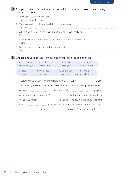

- 1 'They didn't build Rome in a day.' There's a saying that Rome .
- 2 They have collected the tests and checked the answers. The tests .
- 3 A bee sting is more likely to cause death these days than a snake bite. Death .
- 4 It was reported that there were serious problems with the new design. There .
- 5 No one gave us instructions or showed us what to do. We .

**E** Choose one verb phrase from each pair to fill each space in the text.

|                                                              | a are feeding c are being caused<br>b are being fed d have caused | e being hit<br>f having hit | g brought<br>h was brought |  |  |  |
|--------------------------------------------------------------|-------------------------------------------------------------------|-----------------------------|----------------------------|--|--|--|
|                                                              |                                                                   |                             |                            |  |  |  |
| i died                                                       | k frightened                                                      | m have driven               | o to take                  |  |  |  |
| was died                                                     | I was frightened                                                  | n have been driven          | p to be taken              |  |  |  |
|                                                              |                                                                   |                             |                            |  |  |  |
| - 大しい引きる オート・ファー ショートー しょうこうかん しょうしょうしょう オートライト しょうしょうしんけいしょ |                                                                   |                             |                            |  |  |  |

| the streets by the country's economic crisis and a loss of traditional employment. Many |  |                                                                                                              |  |  |
|-----------------------------------------------------------------------------------------|--|--------------------------------------------------------------------------------------------------------------|--|--|
|                                                                                         |  |                                                                                                              |  |  |
|                                                                                         |  | of them. Major traffic problems <sup>4</sup> ________________________________by homeless elephants wandering |  |  |
|                                                                                         |  |                                                                                                              |  |  |
|                                                                                         |  |                                                                                                              |  |  |
|                                                                                         |  |                                                                                                              |  |  |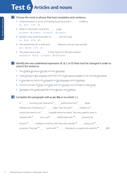### **Test 6 Articles and nouns**

#### A Choose the word or phrase that best completes each sentence.

- 1 A demonstration is an act of showing by giving proof or evaluation evidence. a a b an c the d -
- 2 What's in this book? Look at the manumum page. a content **b** contents **c** content's **d** contents'
- 3 Dessert is any sweet food eaten at **ENCH 2018** end of a meal.  $a$  a b an c the  $d -$
- 4 She worked here for a while then a afternoon she just quit and left. a an  $\textrm{b}$  one  $\textrm{c}$  the  $\textrm{d}$  –
- 5 The police have a new ..................... in their search for the bank robbers. a assistance **b** clue **c** progress **d** information
- **B** Identify the one underlined expression (A, B, C or D) that must be changed in order to correct the sentence.
	- **A** Two metres are about the size of most doorways.
	- 2 I take the bus to the university and meet Tom at the sports complex so we can play the tennis. **A B C D**
	- **A** In one class we had to do a research on the language used in business.
	- **A** He took one pair of shoes, two shirts and two trousers, but he forgot to take socks.
	- **h B** Teenagers with credit cards like to buy device's and clothing.

#### C Complete this paragraph with *a*, *an*, *the* or no article (-).

In<sup>1</sup> masses morning, Sam listened to <sup>2</sup> performance by <sup>3</sup> Royal Philharmonic Orchestra on <sup>4</sup> radio. Then he took<sup>5</sup> children to <sup>6</sup> school and went on to<sup>7</sup> hospital where he works. Two new patients were in hospital with  $\frac{8}{100}$  virus, and  $\frac{9}{100}$  elderly lady with  $\frac{10}{100}$  pneumonia. Around  $\frac{11}{1}$  midday, he met his wife Clara who teaches  $\frac{12}{1}$  physics at  $\frac{13}{1}$  physics at  $\frac{13}{1}$ university. They ate **14** lunch with **15** Hamptons, a couple who work for **16** BBC.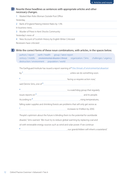

**D** Rewrite these headlines as sentences with appropriate articles and other necessary changes.

1 Masked Man Robs Woman Outside Post Office

Yesterday,

- 2 Bank of England Raising Interest Rates by 1.5%
- In business news,
- 3 Murder of Priest in Kent Shocks Community

Yesterday's news of

4 New Account of Scottish History by English Writer Criticized

Reviewers have criticized

#### Write the correct forms of these noun combinations, with articles, in the spaces below. **E**

authors / report earth / health group / latest report century / middle environmental disaster / threat organization / Sims challenges / urgency destruction / environment population / world

The Earthguard Institute has issued a report warning of  $*$  the threat of environmental disaster

| by <sup>1</sup>                                                                       |                                                                                                                                                                                                                                   |
|---------------------------------------------------------------------------------------|-----------------------------------------------------------------------------------------------------------------------------------------------------------------------------------------------------------------------------------|
| $\overline{ }$                                                                        |                                                                                                                                                                                                                                   |
|                                                                                       |                                                                                                                                                                                                                                   |
|                                                                                       |                                                                                                                                                                                                                                   |
| issues reports on $\frac{5}{2}$ and its people.                                       |                                                                                                                                                                                                                                   |
|                                                                                       | According to $\frac{6}{1}$ measurements are responsible to the measurement of the measurement of the measurement of the measurement of the measurement of the mean of the mean of the mean of the mean of the mean of the mean of |
| falling water supplies and shrinking forests are problems that will only get worse as |                                                                                                                                                                                                                                   |
|                                                                                       |                                                                                                                                                                                                                                   |
| 'People's optimism about the future is blinding them to the potential for worldwide   |                                                                                                                                                                                                                                   |
|                                                                                       | disaster,' Sims warned. 'We must try to reduce global warming by replacing coal and                                                                                                                                               |
| oil with renewable energy sources such as wind and solar power. If we continue        |                                                                                                                                                                                                                                   |

**8** , our grandchildren will inherit a wasteland.'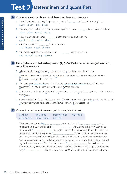### **Test 7** Determiners and quantifiers

#### Choose the word or phrase which best completes each sentence. **A**

- 1 When Mary said to the dog, 'Stop wagging your tail', the started wagging faster. a your **b** hers **c** its **d** their
- 2 The new job provided money for expensive toys, but not very time to play with them. a little **b** few c much d a lot
- 3 They said on the news that <u>manual must</u> of Scotland was covered in snow. a each **b** half **c** whole **d** any
- 4 Cars were parked on side of the street. a all **b** both **c** each **d** every
- 5 She liked to say that she was just one of his ................................ happy customers. a all **b** lots of **c** many **d** some
- **B** Identify the one underlined expression (A, B, C or D) that must be changed in order to correct the sentence.
	- **A** All their neighbours each gave a little money and some their friends helped too.
	- 2 A third of them had blue triangles and two-thirds had green squares or circles, but I didn't like **A B** either colours or any of the designs. **C D**
	- **3** We spent <u>a great deal of time</u> looking through <u>a large number of books</u> to help him find a l few information about Bermuda, but he knew most of it already. **C D**
	- **4** I talked to the students and all think that both Mike and I have lots of money, but we really don't have very much. **D**
	- **5** Claire and Charlie said that they'd seen most of the Europe on their trip and they both mentioned that every city centre was starting to look the same, with only a few exceptions. **C D**

#### C Choose the best word from each pair to complete this text.

| all / both | any / some                                   | many / a lot of | <del>my / mine</del> |
|------------|----------------------------------------------|-----------------|----------------------|
|            | a few / a little either / neither that / the |                 |                      |

When we were young, • my similial sister and I spent **1** similial similial sime time together on our own. Our parents **2** worked and they always seemed to be busy with **3** big project. One of them was usually there when we came home from school, but sometimes  $\frac{4}{1}$  <sup>4</sup> contains them could make it home before dark and they would ask our neighbour, Mrs Green, to check if we were okay. I remember one time when we were playing basketball. My sister got annoyed and threw the ball at me. I turned my back and it bounced off and hit her straight in **5** face. As her nose started to bleed, Mrs Green arrived and let out a terrible shriek. We all got a fright, but there was only<sup>6</sup> blood. It wasn't serious. We decided not to tell our parents about it.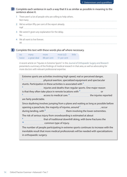- 1 There aren't a lot of people who are willing to help others. Not many
- 2 We've written fifty per cent of the report already. Half
- 3 We weren't given any explanation for the delay. No
- 4 We all want to live forever. All

#### **E** Complete this text with these words plus of where necessary.

| no. | many               | more        | most(x2)    | little |
|-----|--------------------|-------------|-------------|--------|
|     | twice a great deal | 88 per cent | 51 per cent |        |

A recent article on "Injuries in Extreme Sports" in the *Journal of Orthopaedic Surgery and Research* presented a summary of the findings of medical research in that area, as well as advocating for more doctors with relevant professional expertise.

|                         | Extreme sports are activities involving high speed, real or perceived danger,                                                                                                                                                                        |                                                          |                                                                                       |  |
|-------------------------|------------------------------------------------------------------------------------------------------------------------------------------------------------------------------------------------------------------------------------------------------|----------------------------------------------------------|---------------------------------------------------------------------------------------|--|
|                         |                                                                                                                                                                                                                                                      | physical exertion, specialized equipment and spectacular |                                                                                       |  |
|                         | stunts. Participation in these activities is associated with $2$ [100] $\mu$ = $\mu$ = $\mu$ = $\mu$ = $\mu$ = $\mu$ = $\mu$ = $\mu$ = $\mu$ = $\mu$ = $\mu$ = $\mu$ = $\mu$ = $\mu$ = $\mu$ = $\mu$ = $\mu$ = $\mu$ = $\mu$ = $\mu$ = $\mu$ = $\mu$ |                                                          |                                                                                       |  |
|                         | injuries and deaths than regular sports. One major reason                                                                                                                                                                                            |                                                          |                                                                                       |  |
|                         | is that they often take place in remote locations with <sup>4</sup>                                                                                                                                                                                  |                                                          |                                                                                       |  |
| 5                       |                                                                                                                                                                                                                                                      |                                                          | access to medical care. <sup>6</sup> ________________________the injuries reported    |  |
| are fairly predictable. |                                                                                                                                                                                                                                                      |                                                          |                                                                                       |  |
|                         |                                                                                                                                                                                                                                                      |                                                          | Since skydiving involves jumping from a plane and waiting as long as possible before  |  |
|                         | opening a parachute, the majority of injuries, around $\frac{7}{2}$ example 2 occur                                                                                                                                                                  |                                                          |                                                                                       |  |
|                         | during landing, with <sup>8</sup> ____________________________them involving the lower extremities.                                                                                                                                                  |                                                          |                                                                                       |  |
|                         | The risk of serious injury from snowboarding is estimated at about                                                                                                                                                                                   |                                                          |                                                                                       |  |
|                         | that of traditional downhill skiing, with bone fractures the                                                                                                                                                                                         |                                                          |                                                                                       |  |
| 10                      | common type of injury.                                                                                                                                                                                                                               |                                                          |                                                                                       |  |
|                         |                                                                                                                                                                                                                                                      |                                                          | The number of people participating in extreme sports continues to increase with the   |  |
|                         |                                                                                                                                                                                                                                                      |                                                          | inevitable result that more medical professionals will be needed with specializations |  |
| in orthopaedic surgery. |                                                                                                                                                                                                                                                      |                                                          |                                                                                       |  |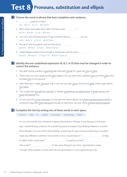### **Test 8 Pronouns, substitution and ellipsis**

#### A Choose the word or phrase that best completes each sentence.

- 1 a phone in here?
	- a Is b Is it c Is it's d Is there
- 2 Billy's shoes look really dirty. Didn't he bring clean .......................? a one **b** ones **c** any **d** some
- 3 You can't carry all those boxes. I'll get someone else to *for you*. a do **b** do it **c** do so **d** do these
- 4 He came with his parents and two friends of **Hemilton** . a them **b** their **c** theirs **d** themselves
- 5 I asked Megan earlier if she thought it would rain and she said, 'I .' a hope **b** hope it **c** hope not **d** don't hope so
- **B** Identify the one underlined expression (A, B, C or D) that must be changed in order to correct the sentence.
	- **1** She didn't bring a jacket or anything like that with herself, so I gave her one of mine.
	- $2$  There were two men arguing with <u>each other</u> in the car park when suddenly <u>one</u> punched <u>other</u> and knocked him to the ground. **D**
	- **3** After fresh tea is made, she puts milk in the tea cup, then pours the tea and adds a little sugar before **B** she tastes. **D**
	- **4** The couple who <u>bought the old pub</u> in Torbrex <u>regarded as an opportunity</u> to make money and enjoy themselves too. **D**
	- **5** I'm not sure why it was necessary to evacuate the whole airport, but there was discovered a knife in someone's bag after they had gone through an electronic security check without being stopped. **C D**

#### C Complete this text by writing two of these words in each space.

do (×2)else it myself someone something them

I'm not sure exactly why I became a regular blood donor. Perhaps it was because a few years

ago I started feeling a need to do something positive instead of just feeling helpless in a world

full of disasters. It's sort of the same feeling I would have if I saw someone drowning. It wouldn't

make any difference whether I knew them or not. I would have to <sup>1</sup> maximum maximum to help.

If I didn't think I could save  $2$  , I would try to find  $3$ 

who could **4** . It's the same thing for me when I give blood or when

I can get other people to come with me and give blood. It's just a good thing to do.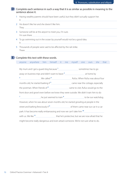- 1 Having wealthy parents should have been useful, but they didn't actually support her. It
- 2 He doesn't like her and she doesn't like him. They
- 3 Someone will be at the airport to meet you, I'm sure. I'm sure there
- 4 To go swimming out in the ocean by yourself would not be a good idea. It also a series of the series of the series of the series of the series of the series of the series of the series of the series of the series of the series of the series of the series of the series of the series of the se
- 5 Thousands of people were said to be affected by the rail strike. There **There**

#### Complete this text with these words. **E**

anyone anywhere him himself it me myself one ours she that My mum and I got a guard dog because **1** sometimes has to go away on business trips and didn't want to leave  $2$  **manual manual manual and home by 3** . We called **4** Rufus. When Rufus was about four months old, he started barking if<sup>5</sup> came came near the cottage, especially the postman. When friends of **6** came to visit, Rufus would go to the front door and growl even before we knew they were outside. We didn't train him to do <sup>7</sup> machinary measured to train  $\alpha$  and  $\alpha$  be our watchdog. However, when he was about seven months old, he started growling at people in the street and barking ferociously if<sup>9</sup> <u>mand come manual contract of them came near our car in a car</u> park. It has become really embarrassing and now we can't take him **10** with us. We like  $\frac{1}{n}$  that he's protective, but we are now afraid that he might become really dangerous and even attack someone. We're not sure what to do.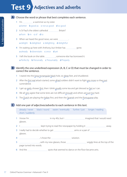### **Test 9 Adjectives and adverbs**

A Choose the word or phrase that best completes each sentence.

- 1 I'm **manual** a swimmer as my sister. a better **b** good as **c** not as good **d** so good
- 2 Is St Paul's the oldest cathedral **Britain?** a from **b** in c of **d** to
- 3 When we heard the good news, we were <u>..................</u> a delight **b** delighted **c** delighting **d** delightful
- 4 I'm waiting up here with Anthony, but Amber has warranning gone.
	- a already **b** downstairs **c** once **d** yet
- 5 I left the book on the table. , someone else has borrowed it. a Perfectly **b** Personally **c** Presumably **d** Properly

**B** Identify the one underlined expression (A, B, C or D) that must be changed in order to correct the sentence.

- **A** I stared into the long rectangular black hole, six deep feet, and shuddered.
- $2$  After the <u>first real</u> attack started, some <u>afraid</u> soldiers didn't want to fight any more so they just surrendered.
- **A** I get up early, shower first, then I drink usually some tea and get dressed as fast as I can.
- **A** We all very agree that some tests are not difficult enough and others are just too hard.
- **5** The Dutch are playing the <u>Italian</u> first, and then the Spanish and the Portuguese play.

Add one pair of adjectives/adverbs to each sentence in this text. **C**

already / never black / round easier / eventually further / just longer / reading short / suddenly

- 1 I know I'm **in my 40s, but I immediate in my 40s**, but in my 40s, but in the state of that I would need glasses.
- 2 I **Accord 2** I **Kept trying to read the newspaper by holding it ECONDITY TO A 2003**
- 3 I really had to decide whether to get **arms or a pair of arms or a pair of**  $\blacksquare$ glasses.
- 4 , I chose the solution.
- 5 , with my new glasses, those wiggly lines at the top of the page turned into words.
- 6 And the successive spots that seemed to dance on the floor became ants.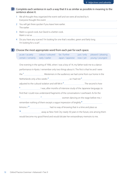- 1 We all thought they organized the event well and we were all excited by it. Everyone thought the event .
- 2 You will get there quicker if you leave here earlier. The earlier .
- 3 Mark is a good cook, but David is a better cook. Mark is not as .
- 4 Do you have any scarves? I'm looking for one that's woollen, green and fairly long. I'm looking for a scarf. .

#### **E** Choose the most appropriate word from each pair for each space.

| acute / acutely                     | colour / coloured far / further |  | just / only    pleased / pleasing |
|-------------------------------------|---------------------------------|--|-----------------------------------|
| certain / certainly early / earlier |                                 |  |                                   |

| One evening in the spring of 1936, when I was a boy of 14, my father took me to a dance                                                                                                                                                  |                                                                                            |                                                                             |  |  |  |  |  |
|------------------------------------------------------------------------------------------------------------------------------------------------------------------------------------------------------------------------------------------|--------------------------------------------------------------------------------------------|-----------------------------------------------------------------------------|--|--|--|--|--|
|                                                                                                                                                                                                                                          | performance in Kyoto. I remember only two things about it. The first is that he and I were |                                                                             |  |  |  |  |  |
|                                                                                                                                                                                                                                          |                                                                                            |                                                                             |  |  |  |  |  |
|                                                                                                                                                                                                                                          |                                                                                            |                                                                             |  |  |  |  |  |
| adjusted to the cultural isolation and still felt it <sup>4</sup> manufactured and still felt it <sup>4</sup> manufactured and still felt it <sup>4</sup> manufactured and still felt it <sup>4</sup> manufactured and the second is how |                                                                                            |                                                                             |  |  |  |  |  |
|                                                                                                                                                                                                                                          |                                                                                            | 5 [100] I was, after months of intensive study of the Japanese language, to |  |  |  |  |  |
|                                                                                                                                                                                                                                          | find that I could now understand fragments of the conversations I overheard. As for the    |                                                                             |  |  |  |  |  |
| 6                                                                                                                                                                                                                                        |                                                                                            | municipality of the stage before me, I                                      |  |  |  |  |  |
| remember nothing of them except a vaque impression of brightly 8                                                                                                                                                                         |                                                                                            |                                                                             |  |  |  |  |  |
|                                                                                                                                                                                                                                          |                                                                                            |                                                                             |  |  |  |  |  |

<sup>10</sup> **10 and a strong them** away as New York City nearly 50 years in the future, one among them

would become my good friend and would dictate her extraordinary memoirs to me.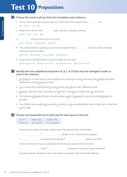### **Test 10 Prepositions**

#### A Choose the word or phrase that best completes each sentence.

- 1 I know I don't look like everyone else, but I don't like it when people stare me.  $a$  at  $b$  on  $c$  to  $d$  –
- 2 Please don't call me until **.......................** eight o'clock on Saturday morning. a after **b** at **c** by **d** to
- 3 I waiting here for you since 8.30.

```
a am b was c have been d will be
```
- 4 The United Nations is drawing up an economic plan aimed at **East Timor with a stronger** economy based on coffee.
	- a provide **b** provides **c** to provide **d** providing
- 5 If you borrow something from someone, make sure you give . a them back to it **b** back it to them **c** it back to them **d** it to them back

#### **B** Identify the one underlined expression (A, B, C or D) that must be changed in order to correct the sentence.

- 1 According to a recent report, more students are choosing to work in part-time jobs instead using their and their weekends to study <u>during</u> term-time.
- **A** For a whole week Loretta came to class on every day with her hair a different colour.
- **A** Between 1850 and 1900, coal production off the US rose from 14 million tons to 100 million.
- 4 The ball went between the legs of another player, past me towards the goal, and rolled through the **A B C D** goal line.
- **5** The children were laughing at a cartoon in which a cat on a wobbly ladder kept trying to get a small bird out its cage. **D**

#### C Choose one preposition from each pair for each space in the text.

| at/in            | away / up  | during / for |
|------------------|------------|--------------|
| from $\prime$ of | off/out of | to / towards |

Does the new 'global economy' simply mean that well-paid jobs will be taken

- **1 2** people in rich countries and changed
- <sup>3</sup> **1** poorer countries?

Is this a bad thing? It may actually mean that some poor people who have been

<sup>5</sup> a long time can start to have a better life

and other people will have to work a bit harder to maintain their comfortable lifestyle.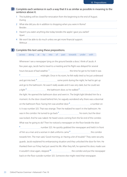- 1 This building will be closed for renovation from the beginning to the end of August. During .
- 2 What else did you do in addition to shopping when you were in Rome? Besides .
- 3 Haven't you eaten anything else today besides the apple I gave you earlier? Apart .
- 4 We won't be able to do much unless we get more financial support. Without .

#### **E** Complete this text using these prepositions.

|  |  |  | across along at by into of past towards under with |  |
|--|--|--|----------------------------------------------------|--|
|  |  |  |                                                    |  |

Whenever I see a newspaper lying on the ground beside a door, I think of Jacob. A few years ago, Jacob had to travel to a meeting and his flight was delayed for several hours because of bad weather.<sup>1</sup> [1] the time he got to his hotel it was **2** midnight. Once in his room, he felt really tired so he just undressed and got into bed.<sup>3</sup> some point during the night, he had to get up and go to the bathroom. He wasn't really awake and it was very dark, but he could see a light<sup>4</sup> the bathroom door, so he walked <sup>5</sup> the stational term is the bathroom door, so he walked <sup>5</sup> the light. He opened the bathroom door and went in. The bright light blinded him for a moment. As the door closed behind him, he vaguely wondered why there was a doormat on the bathroom floor. Facing him was another door **6** a number on it. It was number 325. That was strange. Then he realized he wasn't in the bathroom. He was in the corridor. He turned to go back<sup>7</sup> his room, but the door was locked. And he was naked. He heard voices coming from the far end of the corridor. What was he going to do? Then he noticed a newspaper on the floor beside the door **8** number 325. He quickly grabbed the newspaper and held it in front of him as a man and a woman in dark uniforms came **9** the corridor towards him. The man said, 'Good morning, sir. Having a bit of trouble?' They were security guards. Jacob explained his embarrassing situation and they unlocked the door for him. He thanked them as if they had just saved his life. After they left, he opened his door, made sure it wouldn't close again, stepped <sup>10</sup> the corridor and put the newspaper back on the floor outside number 325. Someone else might need that newspaper.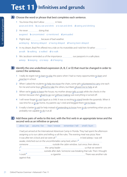### **Test 11** Infinitives and gerunds

- A Choose the word or phrase that best completes each sentence.
	- 1 You know they don't allow in here. a eat and drink b you eat and drink c to eat and drink d eating and drinking
	- 2 He never <u>.....................</u> doing that. a agreed **b** concentrated **c** mentioned **d** persuaded
	- 3 Flights kept because of bad weather. a delaying b being delayed c having delayed d having been delayed
	- 4 In my dream, Brad Pitt offered me a ride on his motorbike and I told him I'd rather ........................ a walk b walking c walked d to walk
	- 5 Mrs Jacobson reminded us of the importance our passports in a safe place. a keep **b** keeping **c** to keep **d** of keeping
- **B** Identify the one underlined expression (A, B, C or D) that must be changed in order to correct the sentences.
	- 1 I really do regret not to learn to play the piano when I had so many opportunities to learn and practise in school. **D**
	- 2 When I asked the students to help me move the chairs, some girls volunteered to carry one each for me and some boys <u>offered to take</u> the others, but Mark refused me to help at all. **C D**
	- 3 When we're ready to leave the house, my mother always tells us wait while she checks in the kitchen because she's afraid to go out without making sure everything is turned off. **A B C D**
	- 4 I will never forget to visit Egypt as a child. It was so exciting to stand beside the pyramids. When it was time for us to go home, my parents say I cried and begged them <u>not to leave</u>. **C D**
	- 5 It really is better to ask for help instead of pretending to know how to do something when you are **A B C** probably not capable <u>to do</u> it at all.

#### Add these pairs of verbs to this text, with the first verb in an appropriate tense and the **C**second verb as an infinitive or gerund.

allow / go assume / be hear / sneeze remember / tell smell / burn

I had just arrived at the International Adventure Camp in Florida. They had spent the afternoon assigning us to our cabins and telling us all the rules. The evening meal was pizza. Now it was after ten o'clock and we were all **1** in bed asleep. I was still awake, stretched out on the uncomfortable camp bed, when I<sup>2</sup> someone **manual controller cabination** outside the cabin window. Just once, then silence. I **3** the camp leader us that we weren't **4** outside after dark. Someone was breaking that rule. Then I thought I could **5** a cigarette . There was another rule against that.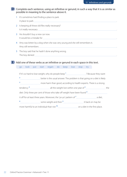**D** Complete each sentence, using an infinitive or gerund, in such a way that it is as similar as possible in meaning to the sentence above it.

- 1 It's sometimes hard finding a place to park. A place to park .
- 2 Is keeping all these old files really necessary? Is it really necessary .
- 3 He shouldn't buy a new car now. It would be a mistake for .
- 4 Amy was bitten by a dog when she was very young and she still remembers it. Amy still remembers .
- 5 The boy said that he hadn't done anything wrong. The boy denied .

Add one of these verbs as an infinitive or gerund in each space in this text. **E**

| qo             |                                                                                                                      |  |  | look put start regain do keep lose stop try |  |  |  |  |  |  |  |
|----------------|----------------------------------------------------------------------------------------------------------------------|--|--|---------------------------------------------|--|--|--|--|--|--|--|
|                |                                                                                                                      |  |  |                                             |  |  |  |  |  |  |  |
|                |                                                                                                                      |  |  |                                             |  |  |  |  |  |  |  |
| $\overline{2}$ | <sup>2</sup> ______________________________better is the usual answer. The problem is that going on a diet is likely |  |  |                                             |  |  |  |  |  |  |  |
|                |                                                                                                                      |  |  |                                             |  |  |  |  |  |  |  |
|                | tendency <sup>4</sup> entitled and the weight lost within one year of <sup>5</sup> entitled and the verify the       |  |  |                                             |  |  |  |  |  |  |  |
|                |                                                                                                                      |  |  |                                             |  |  |  |  |  |  |  |
|                |                                                                                                                      |  |  |                                             |  |  |  |  |  |  |  |
| $\bf{8}$       |                                                                                                                      |  |  |                                             |  |  |  |  |  |  |  |
|                |                                                                                                                      |  |  |                                             |  |  |  |  |  |  |  |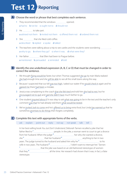### **Test 12 Reporting**



#### A Choose the word or phrase that best completes each sentence.

- 1 They recommended that the windows opened. a had to **b** not be **c** ought not to **d** should not
- 2 He **the the to take part.** a advised not them b invited not them c offered them not d ordered them not
- 3 She that she liked cold coffee. a described **b** replied **c** spoke **d** talked
- 4 The teachers were talking about a trip to see castles and the students were wondering ...................... a why to go. b where they go? c when it was. d what were they?
- 5 Her father manual that Ellen had been to Prague before. a mentioned **b** persuaded **c** reminded **d** told
- **B** Identify the one underlined expression (A, B, C or D) that must be changed in order to correct the sentence.
	- **1** We thought flying would be faster, but when Thomas suggested she go by train Marla realized she had enough time and she will be able to see all the small towns along the way. **C D**
	- 2 Because I suspected that our bill was too high, I asked our waiter if he would check it again and he **A B** agreed me there had been a mistake. **C D**
	- 3 Jessica was complaining to the coach that she felt tired and told him she had to rest, but he encouraged not to quit and said she didn't have much farther to go. **C D**
	- 4 One student inquired about if it was okay to ask what was going to be in the test and the teacher's only **A B** comment <u>was that</u> he had already told them <u>what would be tested</u>.
	- 5 We've invited Josh to come and he's offered us to bring extra food, but Linda has warned us that he **A B C** sometimes promises to do things then forgets completely. **D**

#### C Complete this text with appropriate forms of the verbs.

ask explain point out reply not say not speak talk tell

In her best-selling book *You Just Don't Understand*, Deborah Tannen recalled a joke that her father liked to<sup>1</sup> <u>manual people</u>. In the joke, a woman went to court to get a divorce from her husband. When the judge **2** her why she wanted a divorce, she<sup>3</sup> that her husband<sup>4</sup> and the strain anything to her in two years. The judge turned to the husband and asked him why he<sup>5</sup> the success same to his wife in two years. The husband  $6$  , with the manufactum of the distribution of the riterrupt her.' Tannen ..................................that the joke was based on an old-fashioned stereotype of women: that they **8** all the time. Her research had shown that it was, in fact, a false stereotype.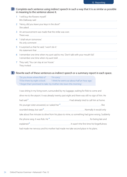#### **D** Complete each sentence using indirect speech in such a way that it is as similar as possible in meaning to the sentence above it.

- 1 'I will buy the flowers myself.' Mrs Dalloway said .
- 2 'Henry, did you leave your keys in the door?' She asked ... The state of the state of the state of the state of the state of the state of the state of the state of the state of the state of the state of the state of the state of the state of the state of the state of
- 3 An announcement was made that the strike was over. There was .
- 4 'I shall return tomorrow.' His only comment .
- 5 It surprised us that he said, 'I won't do it.' His statement that .
- 6 I remember one time when my aunt said to me, 'Don't talk with your mouth full.' I remember one time when my aunt told .
- 7 They said, 'You can stay at our house.' They invited .

#### **E** Rewrite each of these sentences as indirect speech or a summary report in each space.

'Do you know where Rob is?' 'I'm sorry.' 'I'll be there by eight o'clock.' 'I think he went out about half an hour ago.' 'I forgot that I promised to take my mother into town this morning.'

I was sitting in my living room, surrounded by my luggage, waiting for Rob to come and drive me to the airport. It was already twenty past eight and there was still no sign of him. He had said **1** . I had already tried to call him at home. His younger sister answered, so I asked her **2** . She sounded sleepy, but said **3** . Normally it would only take about five minutes to drive from his place to mine, so something had gone wrong. Suddenly the phone rang. It was Rob. He<sup>4</sup> <u>for all communical formations</u> for being late and explained **5** . It wasn't the first time his forgetfulness

had made me nervous and his mother had made me take second place in his plans.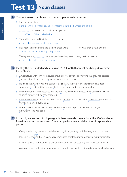### Test 13 Noun clauses

- A Choose the word or phrase that best completes each sentence.
	- 1 Can you understand ........................? a she is saying b what is saying c what she is saying d what is she saying
	- 2 **with the you wait or come back later is up to you.** 
		- a If **b** That **c** When **d** Whether
	- 3 They will recommend that she soon. a leave **b** is leaving **c** left **d** will leave
	- 4 Elizabeth explained during the meeting that it was a **manual communisties** of what should have priority.
		- a belief **b** fact **c** possibility **d** question
	- 5 The regulations *......................*... that a lawyer always be present during any interrogations. a assure **b** require **c** seem **d** state
- **B** Identify the one underlined expression (A, B, C or D) that must be changed to correct the sentence.
	- **Amber stayed with John** wasn't surprising, but it was obvious to everyone that they had decided **A B** they were just friends and that marriage wasn't in their plans. **C D**
	- 2 He didn't know who it was and couldn't imagine why they did it, but there must have been **Somebody that started the rumour which he was from London and very wealthy. C D**
	- **A** I heard about that the director said to them that he didn't think it necessary that he should have to agree with everything they proposed. **D**
	- **A** It became obvious that a lot of students didn't like that their new teacher considered it essential that **B** they do homework every night. **D**
	- **5** Martin told me that he wanted to remind that what was important was not the cost, but **B** how well the job was done. **D**
- In the original version of this paragraph there were six conjunctions (five *thats* and one **C** *how*) introducing noun clauses. One example is shown. Add the others in appropriate places.

Categorization plays a crucial role in human cognition, yet we give little thought to this process.

Indeed, it seems/most of us have a very simple idea of categorization works: we take it for granted that

categories have clear boundaries, and all members of a given category must have something in

common. If we consider the purpose of categorization, we see it is not surprising we hold such a view.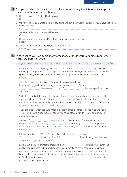**D** Complete each sentence with a noun clause in such a way that it is as similar as possible in meaning to the sentence(s) above it.

- 1 His parents weren't English. He didn't conceal it. He .
- 2 Why anyone would want to jump out of a plane and put their trust in a parachute has always been a big mystery to me.

It .

- 3 We expected that no one would be there. Our .
- 4 Her comments had upset Mark's mother. Bridget was sorry about that. Bridget .
- 5 These apples don't look very nice, but they're delicious. Despite .

#### **E** In each space, write an appropriate form of one of these words or phrases and, where necessary, *that*, *if* or *when*.

argue feel notice emotion view concede know rule out reason to unfair

Kanzi is an adult bonobo, or pygmy chimp, kept at Georgia State University in Atlanta. He has grown up among humans, and is adept at communicating with symbols. He understands some spoken English, and can respond to phrases such as 'go out of the cage' and 'do you want a banana?'

Jared Taglialatela and Sue Savage-Rumbaugh, who work with Kanzi, **1**

|  | he was making gentle noises during his interactions with them. 'We wanted to |
|--|------------------------------------------------------------------------------|
|--|------------------------------------------------------------------------------|

**2** there was any rhyme or **3** they were produced,' says Taglialatela.

So his team studied 100 hours of videotape showing Kanzi's day-to-day interactions and analyzed the sounds he made at various times. They picked situations in which the bonobo's actions were unambiguous: for example, while he was eating a banana, pointing to the symbol for 'grapes', or responding to a request to go outside the cage.

They identified four sounds Kanzi made in different contexts: banana, grapes, juice and yes. In each context, Kanzi made the same sound. 'We haven't taught him this,' says Taglialatela. 'He's doing it on his own.'

Some will  $\alpha$ <sup>1</sup> the sounds are simply the result of differences in Kanzi's emotional state. Taglialatela <sup>5</sup> emotions may play a part, but says they are not the whole story. For instance, Kanzi's sound for 'yes' stayed the same across very different emotional states.

Primatologist Frans de Waal of Emory University in Atlanta, Georgia, agrees.

<sup>6</sup> is involved doesn't <sup>7</sup> is involved that have he's following rules that have some sort of cognitive component.'

Kanzi is just the latest primate to challenge the **8** animals have no language ability. Language used to be popularly defined as symbolic communication until Washoe, a chimpanzee, stumped everyone by learning to communicate in American Sign Language. 'The linguists then came up with a definition that emphasized syntax much more than symbols,' says de Waal. 'Sometimes we  $^9$  **manually model to the interval in the state of the state of the state of the state of the** goalposts as soon as we get near.'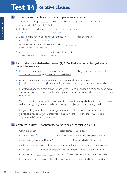### **Test 14 Relative clauses**



- 1 The house I grew up has been demolished and replaced by an office building. a in **b** in it **c** in that **d** in which
- 2 Fieldwork is practical work **manual** outside the school or office. a doing **b** done **c** which do **d** that does
- 3 A letterbox is a narrow opening in a door through **manual management is delivered**. a it **b** that **c** which **d** where
- 4 I didn't recognize the man who she was talking to **..............**... **a** him **b** her **c** his wife  $d -$
- 5 Could you ask those outside to make less noise? a wait **b** waiting **c** waited **d** to wait
- **B** Identify the one underlined expression (A, B, C or D) that must be changed in order to correct the sentence.
	- 1 Her new boyfriend, who's from Denmark, seems nicer than Jordy, who was from Spain, or Toby, that had really long hair, and whom nobody really liked. **C D**
	- **2** A slot is a narrow opening through which something can be put or a channel into which something fits or along something slides or a position for something in a timetable. **B C D**
	- **3** I have friends who had a baby a few years ago when we were neighbours in Wimbledon and, every time when I go back to visit them, their child, whose name is Sam, seems to have grown another ten **C D** centimetres.
	- **4** We had about ten people helping us carry our belongings to a van <u>parked</u> outside when there was a **A** sudden crash <u>making</u> us turn round to find the big mirror <mark>lying</mark> in pieces on the ground.
	- **5** Everyone who was on the committee agreed that we should set aside some of the money we had collected to pay whoever still had to be paid for their work and then we should put **B C** all which was left into a savings account. **D**

#### C Complete this text. Use appropriate words to begin the relative clauses.

| modified version of a small moth known to attack and destroy cotton plants. This new version     |
|--------------------------------------------------------------------------------------------------|
| will be sterile, so it will produce no offspring. The Department of Agriculture is planning an   |
|                                                                                                  |
| large screened cages in a cotton field. The goal is to have a moth-free field in one generation. |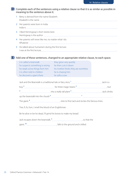#### **D** Complete each of the sentences using a relative clause so that it is as similar as possible in meaning to the sentence above it.

- 1 Betty is derived from the name Elizabeth. Elizabeth is the name .
- 2 Her parents were born in India. India is .
- 3 I liked Hemingway's short stories best. Hemingway is the author .
- 4 Her parents will never like me, no matter what I do. Whatever .
- 5 He talked about humanism during the first lecture. I was at the first lecture, .

#### Add one of these sentences, changed to an appropriate relative clause, to each space. **E**

| it is called a beanstalk       | they grow very quickly               |
|--------------------------------|--------------------------------------|
| he suspects something is wrong | he then cuts it down                 |
| he steals some things from him | his mother thinks they are worthless |
| it is often told to children   | he is chasing him                    |
| he discovers a giant there     | he sells a cow                       |

| Jack and the Beanstalk is a traditional tale or fairy story 1 | . Jack is a                            |  |               |
|---------------------------------------------------------------|----------------------------------------|--|---------------|
| bow'                                                          | for three magic beans <sup>3</sup> .   |  | but           |
|                                                               | into a really tall plant $\frac{5}{5}$ |  | . Jack climbs |
| up the beanstalk into the clouds <sup>6</sup>                 |                                        |  |               |

The giant,  $\frac{8}{2}$ , tries to find Jack and recites the famous lines:

'Fee, fi, fo, fum, I smell the blood of an Englishman.

Be he alive or be he dead, I'll grind his bones to make my bread.'

Jack escapes down the beanstalk,  $\frac{9}{2}$  mass mass so that the

giant,<sup>10</sup> ,  $\frac{10}{2}$  ,  $\frac{10}{2}$  ,  $\frac{10}{2}$  ,  $\frac{10}{2}$  ,  $\frac{10}{2}$  ,  $\frac{10}{2}$  ,  $\frac{10}{2}$  ,  $\frac{10}{2}$  ,  $\frac{10}{2}$  ,  $\frac{10}{2}$  ,  $\frac{10}{2}$  ,  $\frac{10}{2}$  ,  $\frac{10}{2}$  ,  $\frac{10}{2}$  ,  $\frac{10}{2}$  ,  $\frac{10}{2}$  ,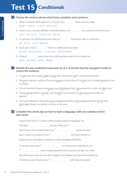## **Test 15 Conditionals**

Choose the word or phrase which best completes each sentence. **A**

- 1 What's a miracle? Well, popcorn's a miracle if you know how it's made. a didn't b don't c won't d wouldn't
- 2 Some of you may have already completed section one. , you can go on to section two. a If so **b** If you do **c** If you may **d** If not
- 3 In summer, if my dad finished work early, he sometimes take us swimming.
	- a is b was c will d would
- 4 If you don't mind, I *mand most inish my coffee before we leave*.

a would b would have c would like d would rather

- 5 If they'd \_\_\_\_\_\_\_\_\_\_\_\_\_\_\_\_\_ Justin more time, he'd have been able to do a better job. a give **b** giving **c** given **d** gave
- **B** Identify the one underlined expression (A, B, C or D) that must be changed in order to correct the sentence.
	- **A** If I were late, they usually made me stay after school and I had to do extra homework.
	- $\frac{2}{M}$  We <u>must</u> maintain a system of law, and support a police force. If we don't, the criminals would soon be in charge.
	- **A** I'm not the kind of person who goes around thinking if only I have done this or that. I just feel lucky.
	- **A** Things will be better if I will get a job and earn some money so I don't have to live with my parents.
	- **5** The Czech Republic's top general <u>once warned</u> staff officers they will lose their jobs if only they don't learn English, according to a story in the news. **D**

#### C Complete this article, tips on how to learn a language, with one suitable word in each space.

Spend some time in a country where people speak the language. For

example,  $\frac{1}{2}$  masses you go to Paris, you **2** masses we also the Paris and the Marian masses of the Marian masses

learn French more quickly than if you **3** classes at home.

But it's better to go alone. If you  $\frac{4}{1}$  with your friends in a

group, you're more likely to speak your native language with them.

Try to find a job. If you <sup>5</sup> <u>*mand mand in a restaurant in Salamanca*</u>, you

**6** have to speak Spanish to the customers all day. You could

also think about who you live with. Imagine how fantastic your Spanish would be by

the time you went home if you<sup>7</sup> with Spanish people!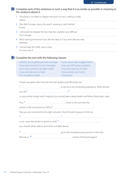- 1 The party is not likely to happen because no one is willing to help. Unless .
- 2 She didn't escape injury; she wasn't wearing a crash helmet. If only a state of the state of the state of the state of the state of the state of the state of the state of the state of the state of the state of the state of the state of the state of the state of the state of the stat
- 3 I still loved her despite the fact that she could be very difficult. Even though .
- 4 We're leaving tomorrow if you like the idea or if you don't like the idea. Whether .
- 5 I arrived late; the traffic was so bad. I'm sorry, but if .

#### **E** Complete this text with the following clauses.

| whether you're getting an error message | if your queue gets bogged down    |
|-----------------------------------------|-----------------------------------|
| if you have received no error messages  | if you are still having a problem |
| even if your printer is an older model  | if any print jobs are on hold     |
| if any print jobs are on hold           | if your printer won't print       |
| if it's a wireless model                | if necessary                      |

Printers are great when they do their job quietly and efficiently, but

|        | , it can be a very frustrating experience. What should |  |
|--------|--------------------------------------------------------|--|
| vou da |                                                        |  |

or your printer simply won't respond, you should take a deep breath and follow these basic steps.

printer is still connected via USB or, **5** ,

that you are connected to the right network. Check the print queue to find out

**6** . **7** , it can cause the printer to grind to a halt. **8** ,

you should still be able to print from a mobile device.

go to the troubleshooting section in the User

Manual, or, <sup>10</sup> , 2000 and 2000 and 2000 and 2000 contact Technical Support.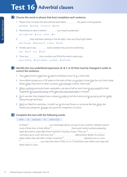### **Test 16 Adverbial clauses**

A Choose the word or phrase that best completes each sentence.

- 1 Players may not leave the area without permission **manual manual** the game is being played. a despite **b** during **c** much as **d** while
- 2 Remember to wear a helmet **weeff** your head is protected. a in order that **b** so as **c** that **d** to
- 3 they had been waiting in line all night, I was sure they'd get tickets. a As though **b** Because of **c** Since **d** Until
- 4 Amelia said it was **......................** lovely weather they all went swimming.
	- a as **b** as if **c** so **d** such
- 5 Once you **INCO 10** Once you into a routine, you'll find the work is quite easy. a are settling **b** have settled **c** settled **d** will settle
- **B** Identify the one underlined expression (A, B, C or D) that must be changed in order to correct the sentence.
	- **A** They didn't think he had been to visit his birthplace since he is a small child.
	- 2 Some British people put a 'GB' plate on the back of their car so that to show that the car is from Great Britain when they drive to other countries, even though it seems rather odd. **C D**
	- 3 When cooking previously frozen vegetables, use about half as much time as you would for fresh vegetables because becoming softer after they have been kept in a freezer. **A B C D**
	- **A** For it was late, they stopped near a stream in order to rest the horses and so as not to get lost while riding through the forest.
	- 5 Much as I liked her paintings, I couldn't act as she was Picasso or someone like that when she **A B C** clearly was a beginner, though very good for a beginner, of course. **D**

#### **C** Complete this text with the following words.

after as because to when  $(x2)$ 

In Britain, **1** you need legal advice, you go to see a solicitor. Solicitors spend most of their time in their offices<sup>2</sup> here their work mostly involves preparing legal documents, especially those involved in buying a house. They can, **3** necessary, go to court with you, but, **4** taking down details of a serious legal matter, they will often contact a barrister<sup>5</sup> [1000] matter represent you in court. **6** you may have seen in films or on TV, barristers wear white curly wigs and black robes in court.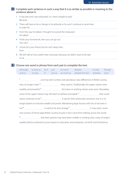- 1 It was late and I was exhausted, so I went straight to bed. Because .
- 2 There will have to be a change in his attitude or he won't continue to work here. In order for .
- 3 From the way he talked, I thought he owned the restaurant. He talked .
- 4 Finish your homework, then you can go out. You can't .
- 5 I know he's your friend, but he can't sleep here. Even .
- 6 We left half an hour earlier than necessary because we didn't want to be late. So as .

#### **E** Choose one word or phrase from each pair to complete the text.

| although                                                                                      |  |  |  | as easy as as if just as much | despite so that                                                                                                | though |
|-----------------------------------------------------------------------------------------------|--|--|--|-------------------------------|----------------------------------------------------------------------------------------------------------------|--------|
| and so                                                                                        |  |  |  | so easy if just as as much as | despite the fact whereas                                                                                       | even   |
|                                                                                               |  |  |  |                               |                                                                                                                |        |
|                                                                                               |  |  |  |                               |                                                                                                                |        |
|                                                                                               |  |  |  |                               |                                                                                                                |        |
|                                                                                               |  |  |  |                               |                                                                                                                |        |
|                                                                                               |  |  |  |                               |                                                                                                                |        |
|                                                                                               |  |  |  |                               |                                                                                                                |        |
| longer based on exclusive wealth and power. Maintaining large houses with lots of servants is |  |  |  |                               |                                                                                                                |        |
|                                                                                               |  |  |  |                               |                                                                                                                |        |
| new owners of those large British country houses in fact come from halfway across the world.  |  |  |  |                               |                                                                                                                |        |
| $\mathbf{a}$                                                                                  |  |  |  |                               | that their parents may have been middle or working class, many of today's mangle of the term and their parents |        |
|                                                                                               |  |  |  |                               |                                                                                                                |        |

wealthy Britons achieved success based on education and enterprise, not birth and inheritance.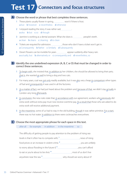### **Test 17 Connectors and focus structures**

#### A Choose the word or phrase that best completes these sentences.

- 1 These plants usually flower in spring, won't if there is frost. a but **b** however **c** nevertheless **d** otherwise
- 2 I enjoyed reading the story. It was rather sad, .............................. a also **b** but **c** so **d** though
- 3 Jasmine is working as a dental assistant. What she does is **manual memory** people's teeth. a clean **b** cleans **c** cleaning **d** to clean
- 4 Tickets are required for admission. , those who don't have a ticket won't get in. a Consequently **b** Rather **c** Similarly **d** Subsequently
- 5 Desert flowers can be invisible for years **manual composition** appear suddenly after heavy rain. a actually, but b alternatively or c consequently and d nevertheless, so

#### **B** Identify the one underlined expression (A, B, C or D) that must be changed in order to correct these sentences.

- 1 To begin with, she insisted that, in addition to her children, she should be allowed to bring their pets; **A B** that is, she wanted as well to bring a dog and two cats. **C D**
- **2** For many years, coal was <u>pot only</u> readily available, but it was <u>also</u> very cheap in comparison other types of fuel and <u>consequently</u> it was used in all the factories.
- **A** As a matter of fact, we had just heard about the problem and, because of that, we didn't stay actually in **A** London very long <u>afterwards</u>.
- **A** In conclusion, the new rules state that, in accordance with our agreement, workers who previously did extra work without extra pay must now receive overtime pay. As a result that those who are asked to do **D** extra work will receive additional payment.
- **5** In the meantime, some of us had to stay in the old building, though it was rather primitive. For a start, there was no hot water. In addition to there were cockroaches everywhere. **D**

#### C Choose the most appropriate phrase for each space in this text.

after all for example in addition in the meantime so

The difficulty of getting people to pay attention to the problem of rising sea

levels is that it often has to compete with,<sup>1</sup> , and a series are news of rising

food prices or an increase in violent crime.<sup>2</sup> , you are unlikely

to worry about flooding in the future if,<sup>3</sup> , you can't afford

to eat or you're about to be shot.<sup>4</sup> , most of us don't live

anywhere near the sea.<sup>5</sup> why should we worry about it?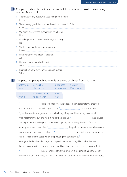- 1 There wasn't any butter. We used margarine instead. Instead .
- 2 You can only get dishes and bowls with this design in Poland. Only .
- 3 We didn't discover the mistake until much later. Not .
- 4 Flooding causes most of the damage in spring. It's .
- 5 She left because he was so unpleasant. It was .
- 6 I know that the main road is blocked. All .
- 7 He went to the party by himself. What he .
- 8 Rose is hoping to travel across Canada by train. What .

#### **E** Complete this paragraph using only one word or phrase from each pair.

| afterwards | as result of     | in contrast   | similarly     |
|------------|------------------|---------------|---------------|
| next       | the result is    | in particular | it's the same |
|            |                  |               |               |
| that       | in the beginning | what          |               |
| that is    | to begin with    | why           |               |
|            |                  |               |               |

**1** I'd like to do today is introduce some important terms that you will become familiar with during this class.<sup>2</sup> , will become is the term 'greenhouse effect'. A greenhouse is a building with glass sides and a glass roof which trap heat from the sun and hold it inside the building.<sup>3</sup> , the polluted atmosphere surrounding the earth is now trapping and holding the heat of the sun, causing temperatures to rise.<sup>4</sup> , the polluted atmosphere is having the same kind of effect as a greenhouse. **5** , there is the term 'greenhouse gases'. These are the gases which are polluting the atmosphere. **6** , one gas called carbon dioxide, which is produced when things like coal and oil are burned, accumulates in the atmosphere and is a direct cause of the greenhouse effect. <sup>7</sup> the greenhouse effect, we are now experiencing a phenomenon known as 'global warming', which is a more general term for increased world temperatures.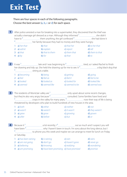# **Exit Test**

There are four spaces in each of the following paragraphs. Choose the best answer (a, b, c or d) for each space.

| $\mathbf{1}$ |                   | After police arrested a man for breaking into a supermarket, they discovered that the thief was |                                               |                                                                                                                                                      |
|--------------|-------------------|-------------------------------------------------------------------------------------------------|-----------------------------------------------|------------------------------------------------------------------------------------------------------------------------------------------------------|
|              |                   |                                                                                                 |                                               |                                                                                                                                                      |
|              |                   |                                                                                                 |                                               |                                                                                                                                                      |
|              |                   |                                                                                                 |                                               |                                                                                                                                                      |
|              | 1 a) her that     | b) that                                                                                         | c) that her $\qquad d)$ to her that           | $d$ ) tell                                                                                                                                           |
|              | $2$ a) admit      | b) explain c) report                                                                            |                                               |                                                                                                                                                      |
|              | 3 a) that         | <b>b</b> ) that to them <b>c</b> ) them that                                                    |                                               | d) them to that                                                                                                                                      |
|              | 4 a) by           | b) for                                                                                          | $\mathsf{c})$ that                            | $d$ ) to                                                                                                                                             |
|              |                   |                                                                                                 |                                               | 2 It was <sup>1</sup> It was 1 It was 1 It was measured to the set of last beginning to <sup>2</sup> It was the desired, so I asked Rachel to finish |
|              |                   |                                                                                                 |                                               |                                                                                                                                                      |
|              |                   | <b>1</b> a) becoming b) being c) getting                                                        |                                               | d) going                                                                                                                                             |
|              | $2$ a) feel       | <b>b</b> ) feel as <b>c</b> ) feel it                                                           |                                               | d) feel to be                                                                                                                                        |
|              |                   | 3 a) looked b) looked as c) looked for d) looked like                                           |                                               |                                                                                                                                                      |
|              | 4 a) seemed       | <b>b</b> ) seemed like                                                                          | <b>c</b> ) seemed to be <b>d</b> ) seemed was |                                                                                                                                                      |
|              | $\overline{3}$    | threatened by developers who plan to build hundreds of new houses in the area.                  |                                               |                                                                                                                                                      |
|              | 1 a) both         | <b>b</b> ) either <b>c</b> ) neither                                                            |                                               | $d$ ) <i>not</i>                                                                                                                                     |
|              | 2 $a)$ wasn't     | <b>b</b> ) weren't <b>c</b> ) it wasn't <b>d</b> ) they weren't                                 |                                               |                                                                                                                                                      |
|              | 3 a) grew         | b) grow                                                                                         | <b>c</b> ) growing <b>d</b> ) grown           |                                                                                                                                                      |
|              | $4$ a) after      | b) before                                                                                       | $c)$ but                                      | $d)$ or                                                                                                                                              |
| 4            |                   |                                                                                                 |                                               | 4 Materian Community of phone you this week and maybe we can arrange to meet for lunch on Friday                                                     |
|              | or Saturday.      |                                                                                                 |                                               |                                                                                                                                                      |
|              |                   | 1 a) has been raining b) is raining c) rain                                                     |                                               | d) rains                                                                                                                                             |
|              |                   | 2 a) am not going b) don't go c) haven't gone d) never go                                       |                                               |                                                                                                                                                      |
|              | 3 a) believing    | b) knowing                                                                                      | c) realizing                                  | d) wondering                                                                                                                                         |
|              | 4 a) am promising | <b>b)</b> have been promising <b>c)</b> have promised                                           |                                               | d) promise                                                                                                                                           |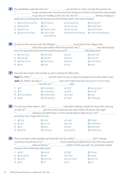| <b>5D</b> |    |                                        |                                                                        |                                                                                                                                                                                                                                                                        |                               |  |
|-----------|----|----------------------------------------|------------------------------------------------------------------------|------------------------------------------------------------------------------------------------------------------------------------------------------------------------------------------------------------------------------------------------------------------------|-------------------------------|--|
|           |    |                                        |                                                                        | deprived or anything like that because all of his friends were in the same situation.                                                                                                                                                                                  |                               |  |
|           |    |                                        | remembering                                                            | 1 a) had been growing b) had grown c) was growing d) was grown<br>2 a) had been b) has c) was having d) would have<br>3 a) didn't use b) haven't used c) wasn't used d) weren't used<br>4 a) didn't remember b) hadn't been c) hadn't remembered d) wasn't remembering |                               |  |
| 6         |    |                                        |                                                                        |                                                                                                                                                                                                                                                                        |                               |  |
|           |    |                                        |                                                                        |                                                                                                                                                                                                                                                                        |                               |  |
|           |    |                                        | 1 a) have tried b) had tried c) tried<br>2 a) have left b) had left    | $c)$ leave                                                                                                                                                                                                                                                             | d) were tried<br>d) were left |  |
|           |    |                                        |                                                                        | 3 a) have found b) had found c) found                                                                                                                                                                                                                                  | d) were found                 |  |
|           |    | 4 a) are                               | b) have                                                                | $c)$ had                                                                                                                                                                                                                                                               | d) were                       |  |
|           |    |                                        |                                                                        |                                                                                                                                                                                                                                                                        |                               |  |
| 7         |    |                                        | Paul and Jack meet in the corridor as Jack is locking his office door. |                                                                                                                                                                                                                                                                        |                               |  |
|           |    |                                        |                                                                        |                                                                                                                                                                                                                                                                        |                               |  |
|           |    |                                        |                                                                        |                                                                                                                                                                                                                                                                        |                               |  |
|           |    | 1 a) $\pi$                             | <b>b</b> ) 'm going to <b>c</b> ) shall                                |                                                                                                                                                                                                                                                                        | d) was going to               |  |
|           |    | 2 a) $\parallel$                       | <b>b</b> ) 'm going to <b>c</b> ) shall                                |                                                                                                                                                                                                                                                                        | d) would                      |  |
|           |    | 3 a) <i>'Il be reading</i>             | <b>b</b> ) <i>'Il have read</i> <b>c</b> ) <i>'Il read</i>             |                                                                                                                                                                                                                                                                        | d) read                       |  |
|           |    | $4$ a) get                             | <b>b)</b> <i>'Il be getting</i>                                        | $c)$ 'll get                                                                                                                                                                                                                                                           | $d)$ 'Il have got             |  |
| 8         |    |                                        |                                                                        |                                                                                                                                                                                                                                                                        |                               |  |
|           |    | arrived by now. I hope she isn't sick. |                                                                        |                                                                                                                                                                                                                                                                        |                               |  |
|           |    | 1 a) $may$                             | $b)$ must                                                              | c) ought                                                                                                                                                                                                                                                               | d) should                     |  |
|           |    | 2 $a)$ can                             | $b)$ can be                                                            | c) could                                                                                                                                                                                                                                                               | d) could have                 |  |
|           |    | 3 a) be                                | b) been                                                                | c) have                                                                                                                                                                                                                                                                | d) have been                  |  |
|           |    | $4$ a) will be                         | b) will have                                                           | c) would be                                                                                                                                                                                                                                                            | d) would have                 |  |
| 9         | 3  |                                        |                                                                        |                                                                                                                                                                                                                                                                        |                               |  |
|           |    | because that's what they really mean.  |                                                                        |                                                                                                                                                                                                                                                                        |                               |  |
|           | 1. | $a)$ will                              | b) would                                                               | c) shall                                                                                                                                                                                                                                                               | d) should                     |  |
|           |    | 2 a) are going                         | $b)$ will                                                              | c) will be                                                                                                                                                                                                                                                             | d) would                      |  |
|           |    | 3 a) $won't$                           | b) won't be                                                            | c) won't have                                                                                                                                                                                                                                                          | d) won't to                   |  |
|           |    | 4 a) $\frac{d}{d}$                     | $b)$ /'//                                                              | $c)$ /m                                                                                                                                                                                                                                                                | $d)$ /'ve                     |  |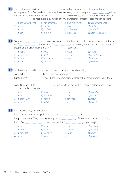The best summer holiday I 1 was when I was ten and I went to stay with my **10** grandparents for a few weeks. At that time they were living in the country and  $2$  meaning still go for long walks through the woods. I 3 to climb trees and run around with their dog. I <sup>4</sup> go near the lake by myself, but my grandfather sometimes took me fishing there. 1 a) *am remembering* b) *can remember* c) *must remember* d) *was remembering* 2 a) *can* b) *could* c) *may* d) *might* 3 **a**) could **b**) could be **c**) could have 4 a) *can't* b) *may not* c) *might not* d) *wasn't allowed to* Tommy, 1 better slow down and wait for the rest of us. I'm sure we have lots of time, so **11** we <sup>2</sup> to run. We don't <sup>3</sup> stop and buy tickets and there are still lots of people on the platform, so the train  $\frac{4}{{}}$  come yet. 1 a) *you'd* b) *you'll* c) *you're* d) *you've* 2 a) *aren't need* b) *don't need* c) *needn't* d) *needn't have* 3 a) *have to* b) *have got to* c) *must* d) *must have to* 4 a) *can't* b) *can't be* c) *can't have* d) *couldn't* 12 Joe has just returned to the school computer room where Sam is working. **Joe:** Who<sup>1</sup> been using my computer? **Sam:** I have <sup>2</sup> improves the meaning idea. But these computers are for any student who wants to use them,  $\frac{3}{2}$ **Joe:** Of course. But 4 you see me doing my work on that one before lunch? I hope I remembered to save it. 1 a) *has* b) *has he* c) *have* d) *have they* 2 a) *no* b) *no longer* c) *not* d) *not an* 3 a) *aren't they* b) *can't it* c) *don't they* d) *isn't it*  4 a) *aren't* b) *didn't* c) *don't* d) *haven't* 13 Liz is helping Lucy clean out her flat. Liz: Did you want to keep all these old books or 1 **Lucy:** I'm not sure. They look interesting, but 2 of them would be worth anything.  $\text{Liz:}$  So,  $\frac{3}{2}$  of them do you think  $\frac{4}{2}$  going to keep? 1 a) *no* b) *none* c) *not* d) *nothing* 2 a) *none* b) *no one* c) *not any* d) *nothing* 3 a) *for what* b) *for which* c) *what* d) *which* 4 a) *are* b) *are you* c) *you* d) *you are*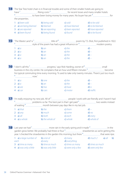| 14) The Star Tree hotel chain is in financial trouble and some of their smaller hotels are going to |                                                                                                                                                                                        |                           |                                     |                  |                          |
|-----------------------------------------------------------------------------------------------------|----------------------------------------------------------------------------------------------------------------------------------------------------------------------------------------|---------------------------|-------------------------------------|------------------|--------------------------|
|                                                                                                     |                                                                                                                                                                                        |                           |                                     |                  |                          |
|                                                                                                     | $\overline{\mathbf{3}}$<br><sup>3</sup> ________________________to have been losing money for many years. No buyer has yet <sup>4</sup> ________________________for<br>the properties. |                           |                                     |                  |                          |
|                                                                                                     | <b>1</b> a) been sold <b>b</b> ) being sold                                                                                                                                            |                           | c) sold                             | d) to be sold    |                          |
|                                                                                                     | 2 <b>a</b> ) are being blamed <b>b</b> ) blamed                                                                                                                                        |                           | c) have blamed                      | d) to be blamed  |                          |
|                                                                                                     | 3 a) are reported b) are reporting c) been reported d) have reported                                                                                                                   |                           |                                     |                  |                          |
|                                                                                                     | <b>4 a)</b> been found <b>b)</b> being found <b>c)</b> found                                                                                                                           |                           |                                     | d) to be found   |                          |
|                                                                                                     | 15 The Waste Land' is <sup>1</sup> ___________________________title of <sup>2</sup> ____________________________poem by T.S. Eliot, first published in 1922.                           |                           |                                     |                  |                          |
|                                                                                                     |                                                                                                                                                                                        |                           |                                     |                  |                          |
|                                                                                                     | 1 a) $a$                                                                                                                                                                               | $b)$ an                   | $c)$ the                            | $d$ ) –          |                          |
|                                                                                                     | 2 a) $a$                                                                                                                                                                               | $b)$ an                   | $c)$ the                            | $d$ ) –          |                          |
|                                                                                                     | 3 a) $a$                                                                                                                                                                               | $b)$ an                   | $c)$ the                            | $d$ ) –          |                          |
|                                                                                                     | 4 a) $a$                                                                                                                                                                               | $b)$ an                   | $c)$ the                            | $d$ ) –          |                          |
|                                                                                                     | 16 'I don't call this <sup>1</sup> manual progress,' says Rob Harding, owner of <sup>2</sup> manual summan, small                                                                      |                           |                                     |                  |                          |
|                                                                                                     | his typical commuting time every morning. 'It used to take only twenty minutes. There's just too much                                                                                  |                           |                                     |                  |                          |
|                                                                                                     | 1 a) $a$                                                                                                                                                                               | b) one                    | $c)$ the                            | $d$ ) –          |                          |
|                                                                                                     | 2 a) $a$                                                                                                                                                                               | $b)$ an                   | $c)$ the                            | $d$ ) –          |                          |
|                                                                                                     | 3 a) $are$                                                                                                                                                                             | $b)$ has                  | c) have                             | $d$ ) is         |                          |
|                                                                                                     | 4 a) $car$                                                                                                                                                                             | b) cars                   | c) motor                            | d) traffic       |                          |
|                                                                                                     | <sup>2</sup> __________________________problems so far. The best part is that I get paid <sup>3</sup> __________________________two weeks instead                                      |                           |                                     |                  |                          |
|                                                                                                     |                                                                                                                                                                                        |                           |                                     |                  |                          |
|                                                                                                     | 1 a) that                                                                                                                                                                              | $b)$ the                  | $c)$ them                           | $d$ ) –          |                          |
|                                                                                                     | 2 a) any b) much c) some d) no                                                                                                                                                         |                           |                                     |                  |                          |
|                                                                                                     | 3 a) $all$                                                                                                                                                                             | b) both                   | c) each                             | d) every         |                          |
|                                                                                                     | 4 $a)$ a whole                                                                                                                                                                         | <b>b)</b> the whole of    | c) whole                            | d) whole of      |                          |
| 18 <sub>1</sub>                                                                                     |                                                                                                                                                                                        |                           |                                     |                  |                          |
|                                                                                                     | a) a large number of<br>each                                                                                                                                                           | $b)$ a lot of<br>c) every | $c)$ many<br>d) everything          | $d)$ much 2      | $a)$ all<br>$\mathsf{b}$ |
|                                                                                                     | a) time as many<br>3                                                                                                                                                                   | <b>b</b> ) time as much   | c) times as many                    | d) times as much |                          |
|                                                                                                     | <b>a)</b> was only a little<br>4                                                                                                                                                       | b) was only little        | c) were only a few d) were only few |                  |                          |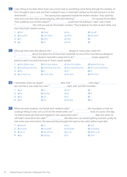I was sitting at my desk when there was a loud crash as something came flying through the window. At first I thought it was a rock, but then I realized it was a cricket ball. I picked up the ball and put it on the desk beside 1 . Two young boys appeared outside the broken window. They said they were sorry, but then they started arguing, with each blaming 2 for causing the accident. Then suddenly one of them asked if 3 could have the ball back. I said, 'I don't think . Not until you pay for this broken window.' They looked at me, then at each other, and then they both started running.

| 1 a) $me$    | b) mine              | $c)$ $my$           | $d)$ myself  |
|--------------|----------------------|---------------------|--------------|
| 2 a) another | <b>b</b> ) one other | c) other            | d) the other |
| 3 a) it      | b) then              | $\mathsf{c}$ ) they | $d$ ) –      |
| 4 a) it      | $b)$ so              | $ch$ that           | $d$ ) –      |

|                                                            |                                                                                     |                              | designs in many years, there isn't |                      |  |
|------------------------------------------------------------|-------------------------------------------------------------------------------------|------------------------------|------------------------------------|----------------------|--|
|                                                            | about the latest line of shoes from Santorelli. As one of the most famous designers |                              |                                    |                      |  |
| Italy, Salvatore Santorelli is expected to do <sup>4</sup> |                                                                                     |                              | simply repeat the                  |                      |  |
|                                                            | previous year's successful formula of 'smart casual' sandals.                       |                              |                                    |                      |  |
|                                                            | $1$ a) first Italian new                                                            | <b>h</b> ) first new Italian | $\epsilon$ ) new first Italian     | d) Italian first new |  |

| 1 a) first Italian new | <b>b</b> ) first new Italian | c) new first Italian | <b>d</b> ) Italian first new |
|------------------------|------------------------------|----------------------|------------------------------|
| 2 a) anything new very | <b>b</b> ) anything very new | c) new anything very | <b>d</b> ) very new anything |
| 3 a) by                | b) in                        | $c$ ) of             | $d$ ) to                     |
| $4$ a) as much as      | b) more than                 | c) the best          | <b>d</b> ) the most          |
|                        |                              |                      |                              |

| 21 |  |           |           |                                   | $\alpha$ a few days $\frac{3}{2}$ |
|----|--|-----------|-----------|-----------------------------------|-----------------------------------|
|    |  |           |           | night, and I just felt miserable. |                                   |
|    |  | 1 a) $at$ | b) in     | $\overline{c}$ ) into             |                                   |
|    |  | 2 a) by   | b) during | $c)$ for                          | $d$ ) in                          |
|    |  | 3 a) $at$ | $b)$ on   | $\overline{c}$ ) in               | $d) -$                            |
|    |  | 4 a) $at$ | ט (כ'     | $c)$ during                       | d) in                             |

| $22$ When we were students, my friends and I rented a cabin $\frac{1}{2}$                     | the mountains so that we                                |
|-----------------------------------------------------------------------------------------------|---------------------------------------------------------|
| could go hiking. It only cost us £55 for the whole week, not $2$ <sup>2</sup> <u>m.m.</u>     | "food, of course. One day,                              |
|                                                                                               | later, but when he                                      |
| still hadn't returned to the cabin $4\degree$                                                 | late afternoon, we started getting worried. Luckily, he |
| met some men who lived in the area and they brought him back to the cabin before it got dark. |                                                         |
|                                                                                               |                                                         |

| 1 a) above   | b) in           | $cl$ on             | d) over       |
|--------------|-----------------|---------------------|---------------|
| 2 a) include | b) included     | c) includes         | d) including  |
| 3 a) $upus$  | $b)$ up with us | $c)$ us up          | d) with us up |
| 4 a) by      | b) during       | $\overline{c}$ ) in | d) since      |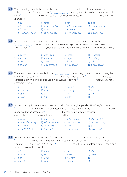| 23)          |                                |                                                                                    |                                                                                                |                                                                                                                                                                |  |
|--------------|--------------------------------|------------------------------------------------------------------------------------|------------------------------------------------------------------------------------------------|----------------------------------------------------------------------------------------------------------------------------------------------------------------|--|
|              | she went in.                   |                                                                                    |                                                                                                | eager <sup>3</sup> eager and the Mona Lisa in the Louvre and she refused <sup>4</sup> errors and she refused the settor outside while                          |  |
|              | 1 a) $q$ o                     | <b>b</b> ) going                                                                   | c) gone                                                                                        | $d)$ to go                                                                                                                                                     |  |
|              |                                | 2 a) trying explain b) trying to explain c) to try explaining d) to try to explain |                                                                                                |                                                                                                                                                                |  |
|              | 3 a) for see                   | b) to see                                                                          | c) in seeing                                                                                   | d) seeing                                                                                                                                                      |  |
|              |                                | 4 a) letting me to wait b) letting me wait                                         | c) to let me to wait                                                                           | d) to let me wait                                                                                                                                              |  |
|              |                                |                                                                                    |                                                                                                |                                                                                                                                                                |  |
|              |                                |                                                                                    |                                                                                                | If the studies of the same students are cheating than ever before. With so many of them                                                                        |  |
|              |                                |                                                                                    |                                                                                                | $\alpha$ anxious about $\frac{3}{\alpha}$ $\ldots$ $\ldots$ $\ldots$ $\ldots$ and $\ldots$ students also now seem to believe that those who cheat are unlikely |  |
|              |                                |                                                                                    |                                                                                                |                                                                                                                                                                |  |
|              | 1 a) succeed                   | <b>b)</b> succeeding                                                               | c) success                                                                                     | d) to succeed                                                                                                                                                  |  |
|              | 2 a) surprise                  | <b>b</b> ) surprised                                                               | c) surprises                                                                                   | d) surprising                                                                                                                                                  |  |
|              | 3 a) fail                      | b) failed                                                                          | c) failing                                                                                     | $d)$ to fail                                                                                                                                                   |  |
|              | $4$ a) to catch                |                                                                                    | <b>b)</b> to be catching $\bullet$ <b>c</b> ) to be caught $\bullet$ <b>d</b> ) to have caught |                                                                                                                                                                |  |
| $25^{\circ}$ |                                |                                                                                    |                                                                                                |                                                                                                                                                                |  |
|              | classroom exercise.            |                                                                                    |                                                                                                |                                                                                                                                                                |  |
|              | 1 a) if                        | b) that                                                                            | c) whether                                                                                     | $d)$ why                                                                                                                                                       |  |
|              | 2 $a)$ don't use               | b) no use                                                                          | c) no using                                                                                    | d) not to use                                                                                                                                                  |  |
|              | $3$ a) about                   | b) for                                                                             | $c)$ to                                                                                        | $d)$ with                                                                                                                                                      |  |
|              | 4 a) her it                    | b) that                                                                            | $c)$ that it                                                                                   | $d$ ) –                                                                                                                                                        |  |
|              |                                |                                                                                    |                                                                                                | 26 Andrew Murphy, former managing director of Delco Electronics, has pleaded 'Not Guilty' to charges                                                           |  |
|              |                                | anyone else in the company could have committed the crime.                         |                                                                                                |                                                                                                                                                                |  |
|              | 1 $a)$ stealing                |                                                                                    | <b>b</b> ) that he stole <b>c</b> ) to have stolen <b>d</b> ) which he stole                   |                                                                                                                                                                |  |
|              |                                | 2 a) did go the money b) did the money go c) the money went                        |                                                                                                | d) went the money                                                                                                                                              |  |
|              |                                | <b>3</b> a) is taking <b>b</b> ) should take <b>c</b> ) takes                      |                                                                                                | $d$ ) took                                                                                                                                                     |  |
|              |                                | <b>4</b> a) it unlikely that <b>b</b> ) that it unlikely <b>c</b> ) that unlikely  |                                                                                                | d) unlikely that                                                                                                                                               |  |
|              |                                |                                                                                    |                                                                                                |                                                                                                                                                                |  |
|              | her more information about it. |                                                                                    |                                                                                                |                                                                                                                                                                |  |
|              | 1 a) it                        | $b)$ that's                                                                        | c) was                                                                                         | d) which                                                                                                                                                       |  |
|              | 2 $a)$ what                    | b) which                                                                           | $c)$ where                                                                                     | d) whose                                                                                                                                                       |  |
|              | 3 a) to                        | b) to her                                                                          | c) to whom                                                                                     | $d$ ) –                                                                                                                                                        |  |
|              | $4$ a) what                    | $b)$ who                                                                           | $c)$ whom                                                                                      | $d$ ) –                                                                                                                                                        |  |
|              |                                |                                                                                    |                                                                                                |                                                                                                                                                                |  |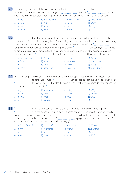|                                                                                                 | <b>28</b> ) The term 'organic' can only be used to describe food $\frac{1}{x}$ | in situations <sup>2</sup> |  |
|-------------------------------------------------------------------------------------------------|--------------------------------------------------------------------------------|----------------------------|--|
|                                                                                                 |                                                                                |                            |  |
| chemicals to make tomatoes grow bigger, for example, is certainly not growing them organically. |                                                                                |                            |  |
|                                                                                                 |                                                                                |                            |  |

| 1 a) grown | <b>b</b> ) that growing | c) where growing | <b>d</b> ) which grown |
|------------|-------------------------|------------------|------------------------|
| 2 a) how   | b) that                 | c) where         | d) which               |
| $3$ a) use | b) used                 | c) uses          | d) using               |
| 4 a) what  | b) when                 | c) which         | $d$ ) –                |

11 their hair wasn't actually very long, rock groups such as the Beatles and the Rolling Stones were often criticized as 'long-haired' or 'needing haircuts' when they first became popular during the early 1960s. At that time men were sometimes considered effeminate if they <sup>2</sup> long hair. The opposite was true for men who grew a beard 3 , of course, it was allowed to grow too long. Beards grow faster than hair and need more care. In fact, if the average man never trimmed his beard, it  $\ldots$  to nearly ten metres in his lifetime. Now, that's a lot of hair! 

| 1 a) Even though | b) If only   | c) Unless    | d) Whether    |
|------------------|--------------|--------------|---------------|
| 2 a) had         | b) have      | c) will have | d) would have |
| 3 a) if          | b) if not    | $c)$ only if | d) unless     |
| $4$ a) grew      | b) has grown | c) will grow | d) would grow |

 I'm still waiting to find out if I passed the entrance exam. Perhaps I'll get the news later today when I  $\frac{1}{3}$  to school. I promise  $1^2$  you as soon as I get the news. It's three weeks I took the exam, but my teacher warned me that they sometimes don't announce the results until more than a month 4 .

| 1 a) $q$ o      | <b>b</b> ) have gone | c) going             | $d)$ will go     |
|-----------------|----------------------|----------------------|------------------|
| 2 a) call       | b) called            | c) $\mathcal I$ call | $d$ ) 'm calling |
| $3$ a) later    | b) once              | c) since             | d) when          |
| 4 a) has passed | b) is passing        | c) passed            | d) will pass     |

 in most other sports players are usually trying to get the most goals or points <u>....................</u> win, the opposite is true in golf. In a game of golf, it is the lowest score that wins. Each player must try to get his or her ball in the hole 3 as few shots as possible. For each hole there is a given number of shots called 'par'. 4 **manual and manual** a player uses one shot less than par, it's called a 'birdie' and one more than par is called a 'bogey'. 

| 1 a) Even although | b) In spite of | c) Instead of          | d) Whereas   |
|--------------------|----------------|------------------------|--------------|
| 2 a) for           | b) in order to | $\mathsf{c}$ ) so that | d) such that |
| $3$ a) use         | b) uses        | c) used                | d) using     |
| 4 a) $As$          | b) Since       | c) When                | d) While     |